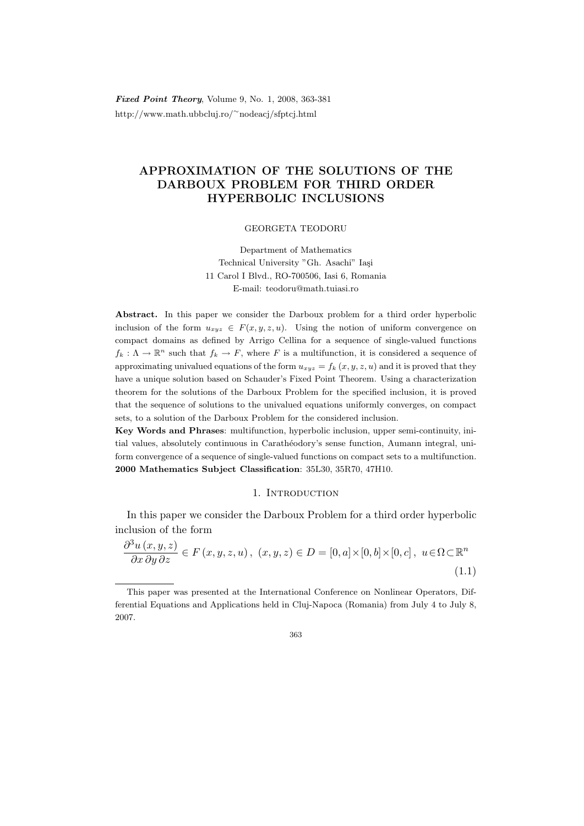**Fixed Point Theory, Volume 9, No. 1, 2008, 363-381** http://www.math.ubbcluj.ro/<sup>∼</sup>nodeacj/sfptcj.html

# APPROXIMATION OF THE SOLUTIONS OF THE DARBOUX PROBLEM FOR THIRD ORDER HYPERBOLIC INCLUSIONS

GEORGETA TEODORU

Department of Mathematics Technical University "Gh. Asachi" Iași 11 Carol I Blvd., RO-700506, Iasi 6, Romania E-mail: teodoru@math.tuiasi.ro

Abstract. In this paper we consider the Darboux problem for a third order hyperbolic inclusion of the form  $u_{xyz} \in F(x, y, z, u)$ . Using the notion of uniform convergence on compact domains as defined by Arrigo Cellina for a sequence of single-valued functions  $f_k: \Lambda \to \mathbb{R}^n$  such that  $f_k \to F$ , where F is a multifunction, it is considered a sequence of approximating univalued equations of the form  $u_{xyz} = f_k(x, y, z, u)$  and it is proved that they have a unique solution based on Schauder's Fixed Point Theorem. Using a characterization theorem for the solutions of the Darboux Problem for the specified inclusion, it is proved that the sequence of solutions to the univalued equations uniformly converges, on compact sets, to a solution of the Darboux Problem for the considered inclusion.

Key Words and Phrases: multifunction, hyperbolic inclusion, upper semi-continuity, initial values, absolutely continuous in Carathéodory's sense function, Aumann integral, uniform convergence of a sequence of single-valued functions on compact sets to a multifunction. 2000 Mathematics Subject Classification: 35L30, 35R70, 47H10.

# 1. INTRODUCTION

In this paper we consider the Darboux Problem for a third order hyperbolic inclusion of the form

$$
\frac{\partial^3 u(x, y, z)}{\partial x \partial y \partial z} \in F(x, y, z, u), (x, y, z) \in D = [0, a] \times [0, b] \times [0, c], u \in \Omega \subset \mathbb{R}^n
$$
\n(1.1)

This paper was presented at the International Conference on Nonlinear Operators, Differential Equations and Applications held in Cluj-Napoca (Romania) from July 4 to July 8, 2007.

<sup>363</sup>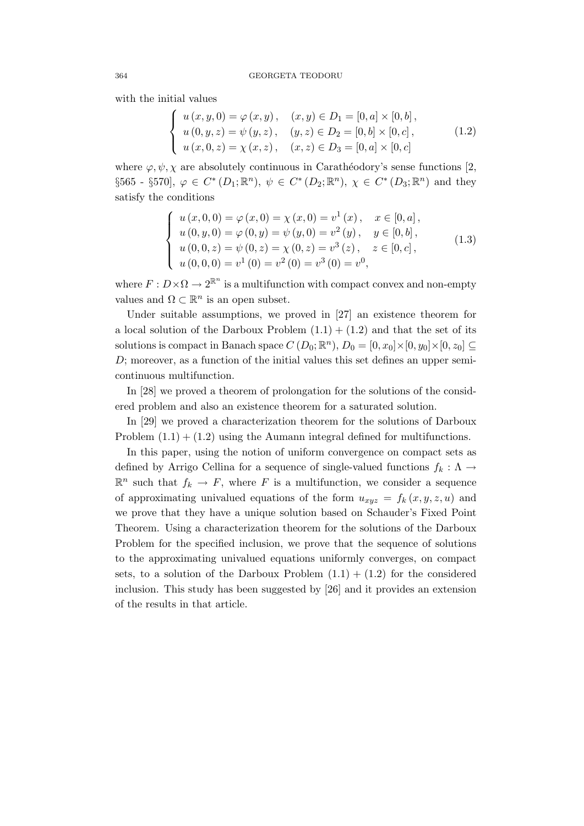with the initial values

$$
\begin{cases}\n u(x, y, 0) = \varphi(x, y), & (x, y) \in D_1 = [0, a] \times [0, b], \\
 u(0, y, z) = \psi(y, z), & (y, z) \in D_2 = [0, b] \times [0, c], \\
 u(x, 0, z) = \chi(x, z), & (x, z) \in D_3 = [0, a] \times [0, c]\n\end{cases}
$$
\n(1.2)

where  $\varphi, \psi, \chi$  are absolutely continuous in Carathéodory's sense functions [2, §565 - §570],  $\varphi \in C^* (D_1; \mathbb{R}^n)$ ,  $\psi \in C^* (D_2; \mathbb{R}^n)$ ,  $\chi \in C^* (D_3; \mathbb{R}^n)$  and they satisfy the conditions

$$
\begin{cases}\n u(x,0,0) = \varphi(x,0) = \chi(x,0) = v^1(x), & x \in [0,a], \\
 u(0,y,0) = \varphi(0,y) = \psi(y,0) = v^2(y), & y \in [0,b], \\
 u(0,0,z) = \psi(0,z) = \chi(0,z) = v^3(z), & z \in [0,c], \\
 u(0,0,0) = v^1(0) = v^2(0) = v^3(0) = v^0,\n\end{cases}
$$
\n(1.3)

where  $F: D \times \Omega \to 2^{\mathbb{R}^n}$  is a multifunction with compact convex and non-empty values and  $\Omega \subset \mathbb{R}^n$  is an open subset.

Under suitable assumptions, we proved in [27] an existence theorem for a local solution of the Darboux Problem  $(1.1) + (1.2)$  and that the set of its solutions is compact in Banach space  $C(D_0; \mathbb{R}^n)$ ,  $D_0 = [0, x_0] \times [0, y_0] \times [0, z_0] \subseteq$ D; moreover, as a function of the initial values this set defines an upper semicontinuous multifunction.

In [28] we proved a theorem of prolongation for the solutions of the considered problem and also an existence theorem for a saturated solution.

In [29] we proved a characterization theorem for the solutions of Darboux Problem  $(1.1) + (1.2)$  using the Aumann integral defined for multifunctions.

In this paper, using the notion of uniform convergence on compact sets as defined by Arrigo Cellina for a sequence of single-valued functions  $f_k : \Lambda \to$  $\mathbb{R}^n$  such that  $f_k \to F$ , where F is a multifunction, we consider a sequence of approximating univalued equations of the form  $u_{xyz} = f_k(x, y, z, u)$  and we prove that they have a unique solution based on Schauder's Fixed Point Theorem. Using a characterization theorem for the solutions of the Darboux Problem for the specified inclusion, we prove that the sequence of solutions to the approximating univalued equations uniformly converges, on compact sets, to a solution of the Darboux Problem  $(1.1) + (1.2)$  for the considered inclusion. This study has been suggested by [26] and it provides an extension of the results in that article.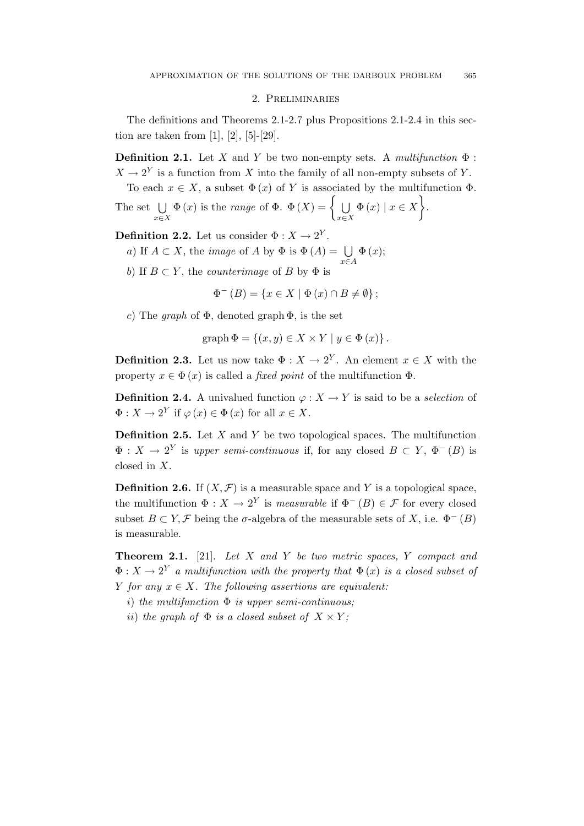#### 2. Preliminaries

The definitions and Theorems 2.1-2.7 plus Propositions 2.1-2.4 in this section are taken from [1], [2], [5]-[29].

**Definition 2.1.** Let X and Y be two non-empty sets. A multifunction  $\Phi$ :  $X \to 2^Y$  is a function from X into the family of all non-empty subsets of Y. To each  $x \in X$ , a subset  $\Phi(x)$  of Y is associated by the multifunction  $\Phi$ .

The set 
$$
\bigcup_{x \in X} \Phi(x)
$$
 is the *range* of  $\Phi$ .  $\Phi(X) = \left\{ \bigcup_{x \in X} \Phi(x) \mid x \in X \right\}$ .

**Definition 2.2.** Let us consider  $\Phi: X \to 2^Y$ .

- a) If  $A \subset X$ , the *image* of A by  $\Phi$  is  $\Phi(A) = \bigcup \Phi(x)$ ;
- b) If  $B \subset Y$ , the *counterimage* of B by  $\Phi$  is

$$
\Phi^{-}(B) = \{ x \in X \mid \Phi(x) \cap B \neq \emptyset \};
$$

x∈A

c) The graph of  $\Phi$ , denoted graph  $\Phi$ , is the set

$$
graph \Phi = \{(x, y) \in X \times Y \mid y \in \Phi(x)\}.
$$

**Definition 2.3.** Let us now take  $\Phi: X \to 2^Y$ . An element  $x \in X$  with the property  $x \in \Phi(x)$  is called a *fixed point* of the multifunction  $\Phi$ .

**Definition 2.4.** A univalued function  $\varphi: X \to Y$  is said to be a selection of  $\Phi: X \to 2^Y$  if  $\varphi(x) \in \Phi(x)$  for all  $x \in X$ .

**Definition 2.5.** Let  $X$  and  $Y$  be two topological spaces. The multifunction  $\Phi: X \to 2^Y$  is upper semi-continuous if, for any closed  $B \subset Y, \Phi^-(B)$  is closed in X.

**Definition 2.6.** If  $(X, \mathcal{F})$  is a measurable space and Y is a topological space, the multifunction  $\Phi: X \to 2^Y$  is *measurable* if  $\Phi^-(B) \in \mathcal{F}$  for every closed subset  $B \subset Y$ , F being the  $\sigma$ -algebra of the measurable sets of X, i.e.  $\Phi^{-}(B)$ is measurable.

**Theorem 2.1.** [21]. Let  $X$  and  $Y$  be two metric spaces,  $Y$  compact and  $\Phi: X \to 2^Y$  a multifunction with the property that  $\Phi(x)$  is a closed subset of Y for any  $x \in X$ . The following assertions are equivalent:

i) the multifunction  $\Phi$  is upper semi-continuous;

ii) the graph of  $\Phi$  is a closed subset of  $X \times Y$ ;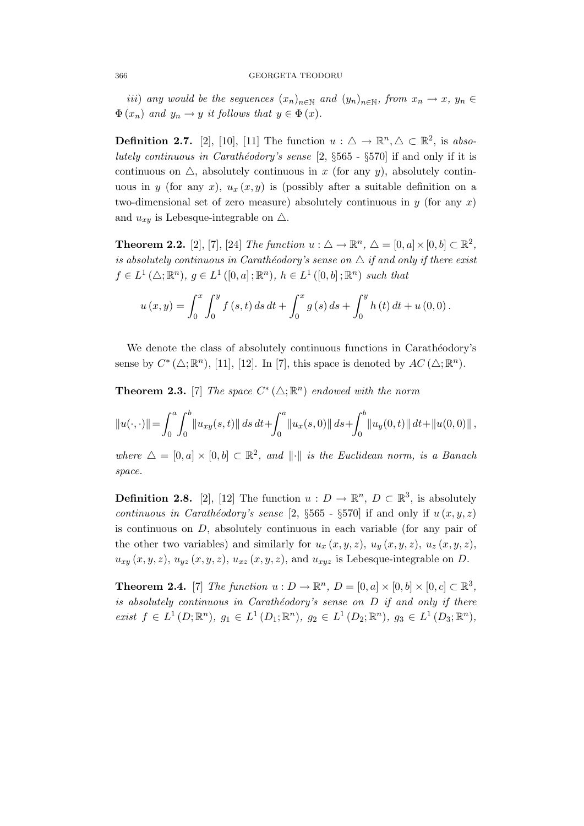*iii*) any would be the seguences  $(x_n)_{n\in\mathbb{N}}$  and  $(y_n)_{n\in\mathbb{N}}$ , from  $x_n \to x$ ,  $y_n \in$  $\Phi(x_n)$  and  $y_n \to y$  it follows that  $y \in \Phi(x)$ .

**Definition 2.7.** [2], [10], [11] The function  $u : \triangle \rightarrow \mathbb{R}^n, \triangle \subset \mathbb{R}^2$ , is absolutely continuous in Carathéodory's sense  $[2, \S 565 - \S 570]$  if and only if it is continuous on  $\triangle$ , absolutely continuous in x (for any y), absolutely continuous in y (for any x),  $u_x(x, y)$  is (possibly after a suitable definition on a two-dimensional set of zero measure) absolutely continuous in  $y$  (for any x) and  $u_{xy}$  is Lebesque-integrable on  $\triangle$ .

**Theorem 2.2.** [2], [7], [24] The function  $u : \Delta \to \mathbb{R}^n$ ,  $\Delta = [0, a] \times [0, b] \subset \mathbb{R}^2$ , is absolutely continuous in Carathéodory's sense on  $\Delta$  if and only if there exist  $f \in L^1(\triangle; \mathbb{R}^n)$ ,  $g \in L^1([0, a]; \mathbb{R}^n)$ ,  $h \in L^1([0, b]; \mathbb{R}^n)$  such that

$$
u(x,y) = \int_0^x \int_0^y f(s,t) \, ds \, dt + \int_0^x g(s) \, ds + \int_0^y h(t) \, dt + u(0,0) \, .
$$

We denote the class of absolutely continuous functions in Carathéodory's sense by  $C^* (\Delta; \mathbb{R}^n)$ , [11], [12]. In [7], this space is denoted by  $AC (\Delta; \mathbb{R}^n)$ .

**Theorem 2.3.** [7] The space  $C^*(\Delta; \mathbb{R}^n)$  endowed with the norm

$$
||u(\cdot,\cdot)|| = \int_0^a \int_0^b ||u_{xy}(s,t)|| \, ds \, dt + \int_0^a ||u_x(s,0)|| \, ds + \int_0^b ||u_y(0,t)|| \, dt + ||u(0,0)||,
$$

where  $\Delta = [0, a] \times [0, b] \subset \mathbb{R}^2$ , and  $\|\cdot\|$  is the Euclidean norm, is a Banach space.

**Definition 2.8.** [2], [12] The function  $u : D \to \mathbb{R}^n$ ,  $D \subset \mathbb{R}^3$ , is absolutely continuous in Carathéodory's sense  $[2, \S 565 - \S 570]$  if and only if  $u(x, y, z)$ is continuous on D, absolutely continuous in each variable (for any pair of the other two variables) and similarly for  $u_x(x, y, z)$ ,  $u_y(x, y, z)$ ,  $u_z(x, y, z)$ ,  $u_{xy}(x, y, z), u_{yz}(x, y, z), u_{xz}(x, y, z),$  and  $u_{xyz}$  is Lebesque-integrable on D.

**Theorem 2.4.** [7] The function  $u : D \to \mathbb{R}^n$ ,  $D = [0, a] \times [0, b] \times [0, c] \subset \mathbb{R}^3$ , is absolutely continuous in Carathéodory's sense on  $D$  if and only if there *exist*  $f$  ∈  $L^1$   $(D; \mathbb{R}^n)$ ,  $g_1$  ∈  $L^1$   $(D_1; \mathbb{R}^n)$ ,  $g_2$  ∈  $L^1$   $(D_2; \mathbb{R}^n)$ ,  $g_3$  ∈  $L^1$   $(D_3; \mathbb{R}^n)$ ,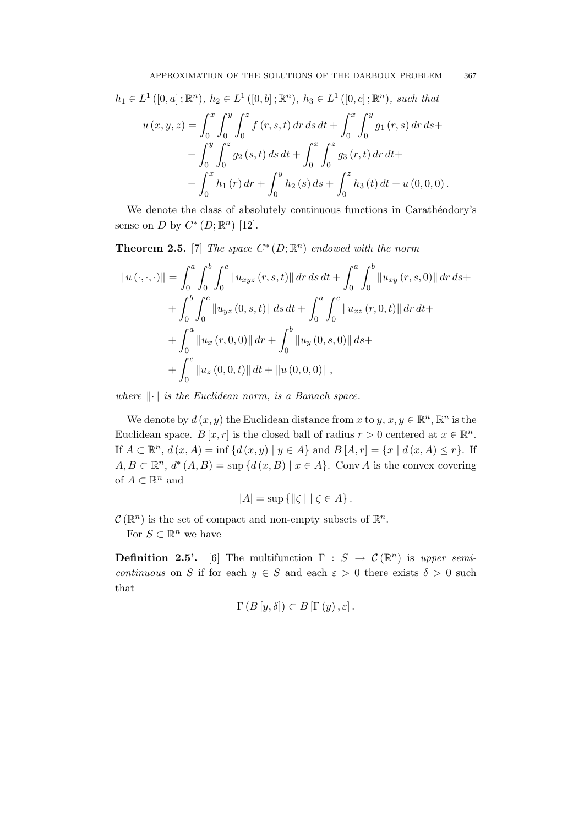$$
h_1 \in L^1([0, a]; \mathbb{R}^n), h_2 \in L^1([0, b]; \mathbb{R}^n), h_3 \in L^1([0, c]; \mathbb{R}^n), \text{ such that}
$$
  

$$
u(x, y, z) = \int_0^x \int_0^y \int_0^z f(r, s, t) dr ds dt + \int_0^x \int_0^y g_1(r, s) dr ds +
$$
  

$$
+ \int_0^y \int_0^z g_2(s, t) ds dt + \int_0^x \int_0^z g_3(r, t) dr dt +
$$
  

$$
+ \int_0^x h_1(r) dr + \int_0^y h_2(s) ds + \int_0^z h_3(t) dt + u(0, 0, 0).
$$

We denote the class of absolutely continuous functions in Carathéodory's sense on D by  $C^*(D;\mathbb{R}^n)$  [12].

**Theorem 2.5.** [7] The space  $C^*(D;\mathbb{R}^n)$  endowed with the norm

$$
||u(\cdot,\cdot,\cdot)|| = \int_0^a \int_0^b \int_0^c ||u_{xyz}(r,s,t)|| \, dr \, ds \, dt + \int_0^a \int_0^b ||u_{xy}(r,s,0)|| \, dr \, ds +
$$
  
+ 
$$
\int_0^b \int_0^c ||u_{yz}(0,s,t)|| \, ds \, dt + \int_0^a \int_0^c ||u_{xz}(r,0,t)|| \, dr \, dt +
$$
  
+ 
$$
\int_0^a ||u_x(r,0,0)|| \, dr + \int_0^b ||u_y(0,s,0)|| \, ds +
$$
  
+ 
$$
\int_0^c ||u_z(0,0,t)|| \, dt + ||u(0,0,0)||,
$$

where  $\lVert \cdot \rVert$  is the Euclidean norm, is a Banach space.

We denote by  $d(x, y)$  the Euclidean distance from x to  $y, x, y \in \mathbb{R}^n$ ,  $\mathbb{R}^n$  is the Euclidean space.  $B[x, r]$  is the closed ball of radius  $r > 0$  centered at  $x \in \mathbb{R}^n$ . If  $A \subset \mathbb{R}^n$ ,  $d(x, A) = \inf \{d(x, y) \mid y \in A\}$  and  $B[A, r] = \{x \mid d(x, A) \le r\}$ . If  $A, B \subset \mathbb{R}^n$ ,  $d^*(A, B) = \sup \{d(x, B) \mid x \in A\}$ . Conv A is the convex covering of  $A \subset \mathbb{R}^n$  and

$$
|A| = \sup \{ ||\zeta|| \mid \zeta \in A \}.
$$

 $\mathcal{C}(\mathbb{R}^n)$  is the set of compact and non-empty subsets of  $\mathbb{R}^n$ .

For  $S \subset \mathbb{R}^n$  we have

1

**Definition 2.5'.** [6] The multifunction  $\Gamma : S \to C(\mathbb{R}^n)$  is upper semicontinuous on S if for each  $y \in S$  and each  $\varepsilon > 0$  there exists  $\delta > 0$  such that

$$
\Gamma(B[y,\delta]) \subset B[\Gamma(y),\varepsilon].
$$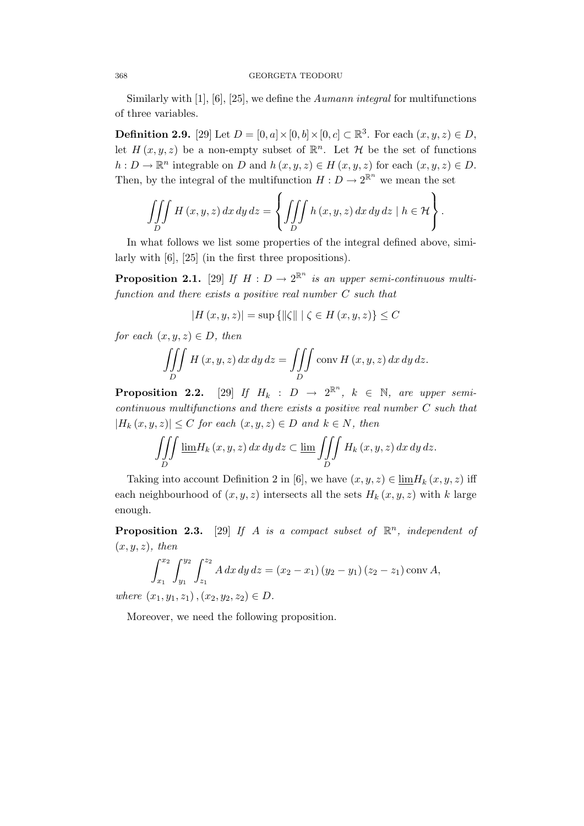### 368 GEORGETA TEODORU

Similarly with  $[1]$ ,  $[6]$ ,  $[25]$ , we define the *Aumann integral* for multifunctions of three variables.

**Definition 2.9.** [29] Let  $D = [0, a] \times [0, b] \times [0, c] \subset \mathbb{R}^3$ . For each  $(x, y, z) \in D$ , let  $H(x, y, z)$  be a non-empty subset of  $\mathbb{R}^n$ . Let  $\mathcal H$  be the set of functions  $h: D \to \mathbb{R}^n$  integrable on D and  $h(x, y, z) \in H(x, y, z)$  for each  $(x, y, z) \in D$ . Then, by the integral of the multifunction  $H: D \to 2^{\mathbb{R}^n}$  we mean the set

$$
\iiint\limits_{D} H(x, y, z) dx dy dz = \left\{ \iiint\limits_{D} h(x, y, z) dx dy dz \mid h \in \mathcal{H} \right\}.
$$

In what follows we list some properties of the integral defined above, similarly with [6], [25] (in the first three propositions).

**Proposition 2.1.** [29] If  $H: D \to 2^{\mathbb{R}^n}$  is an upper semi-continuous multifunction and there exists a positive real number C such that

$$
|H(x, y, z)| = \sup\left\{ \|\zeta\| \mid \zeta \in H(x, y, z) \right\} \leq C
$$

for each  $(x, y, z) \in D$ , then

$$
\iiint\limits_{D} H(x, y, z) dx dy dz = \iiint\limits_{D} \text{conv } H(x, y, z) dx dy dz.
$$

**Proposition 2.2.** [29] If  $H_k$  :  $D \rightarrow 2^{\mathbb{R}^n}$ ,  $k \in \mathbb{N}$ , are upper semicontinuous multifunctions and there exists a positive real number C such that  $|H_k(x, y, z)| \leq C$  for each  $(x, y, z) \in D$  and  $k \in N$ , then

$$
\iiint\limits_{D} \underline{\lim} H_k(x, y, z) \, dx \, dy \, dz \subset \underline{\lim} \iiint\limits_{D} H_k(x, y, z) \, dx \, dy \, dz.
$$

Taking into account Definition 2 in [6], we have  $(x, y, z) \in \lim H_k(x, y, z)$  iff each neighbourhood of  $(x, y, z)$  intersects all the sets  $H_k(x, y, z)$  with k large enough.

**Proposition 2.3.** [29] If A is a compact subset of  $\mathbb{R}^n$ , independent of  $(x, y, z)$ , then

$$
\int_{x_1}^{x_2} \int_{y_1}^{y_2} \int_{z_1}^{z_2} A \, dx \, dy \, dz = (x_2 - x_1) (y_2 - y_1) (z_2 - z_1) \operatorname{conv} A,
$$

where  $(x_1, y_1, z_1), (x_2, y_2, z_2) \in D$ .

Moreover, we need the following proposition.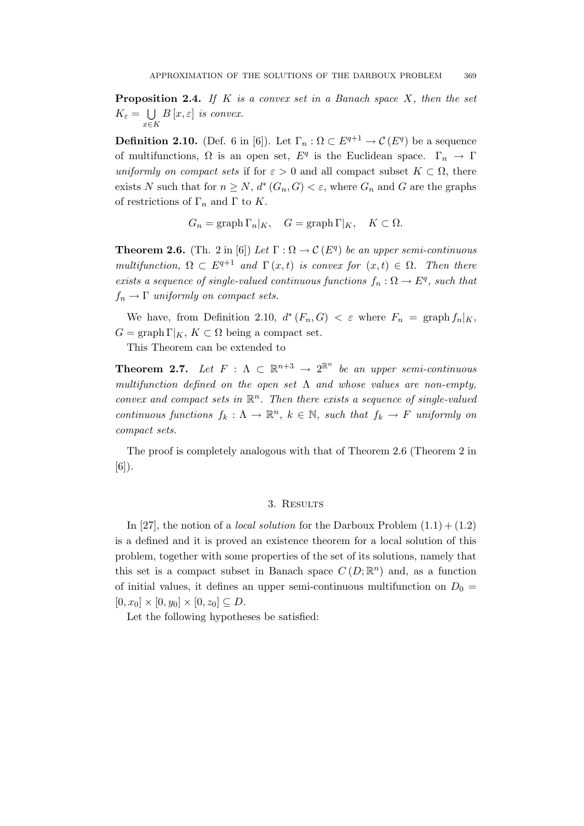**Proposition 2.4.** If K is a convex set in a Banach space  $X$ , then the set  $K_{\varepsilon} = \bigcup B[x,\varepsilon]$  is convex. x∈K

**Definition 2.10.** (Def. 6 in [6]). Let  $\Gamma_n : \Omega \subset E^{q+1} \to \mathcal{C}(E^q)$  be a sequence of multifunctions,  $\Omega$  is an open set,  $E^q$  is the Euclidean space.  $\Gamma_n \to \Gamma$ uniformly on compact sets if for  $\varepsilon > 0$  and all compact subset  $K \subset \Omega$ , there exists N such that for  $n \geq N$ ,  $d^*(G_n, G) < \varepsilon$ , where  $G_n$  and G are the graphs of restrictions of  $\Gamma_n$  and  $\Gamma$  to K.

$$
G_n = \operatorname{graph} \Gamma_n|_K, \quad G = \operatorname{graph} \Gamma|_K, \quad K \subset \Omega.
$$

**Theorem 2.6.** (Th. 2 in [6]) Let  $\Gamma : \Omega \to \mathcal{C}(E^q)$  be an upper semi-continuous multifunction,  $\Omega \subset E^{q+1}$  and  $\Gamma(x,t)$  is convex for  $(x,t) \in \Omega$ . Then there exists a sequence of single-valued continuous functions  $f_n : \Omega \to E^q$ , such that  $f_n \to \Gamma$  uniformly on compact sets.

We have, from Definition 2.10,  $d^*(F_n, G) < \varepsilon$  where  $F_n = \text{graph } f_n|_K$ ,  $G = \text{graph }\Gamma|_K, K \subset \Omega$  being a compact set.

This Theorem can be extended to

**Theorem 2.7.** Let  $F : \Lambda \subset \mathbb{R}^{n+3} \to 2^{\mathbb{R}^n}$  be an upper semi-continuous multifunction defined on the open set  $\Lambda$  and whose values are non-empty, convex and compact sets in  $\mathbb{R}^n$ . Then there exists a sequence of single-valued continuous functions  $f_k: \Lambda \to \mathbb{R}^n$ ,  $k \in \mathbb{N}$ , such that  $f_k \to F$  uniformly on compact sets.

The proof is completely analogous with that of Theorem 2.6 (Theorem 2 in  $[6]$ .

## 3. RESULTS

In [27], the notion of a *local solution* for the Darboux Problem  $(1.1) + (1.2)$ is a defined and it is proved an existence theorem for a local solution of this problem, together with some properties of the set of its solutions, namely that this set is a compact subset in Banach space  $C(D;\mathbb{R}^n)$  and, as a function of initial values, it defines an upper semi-continuous multifunction on  $D_0 =$  $[0, x_0] \times [0, y_0] \times [0, z_0] \subseteq D$ .

Let the following hypotheses be satisfied: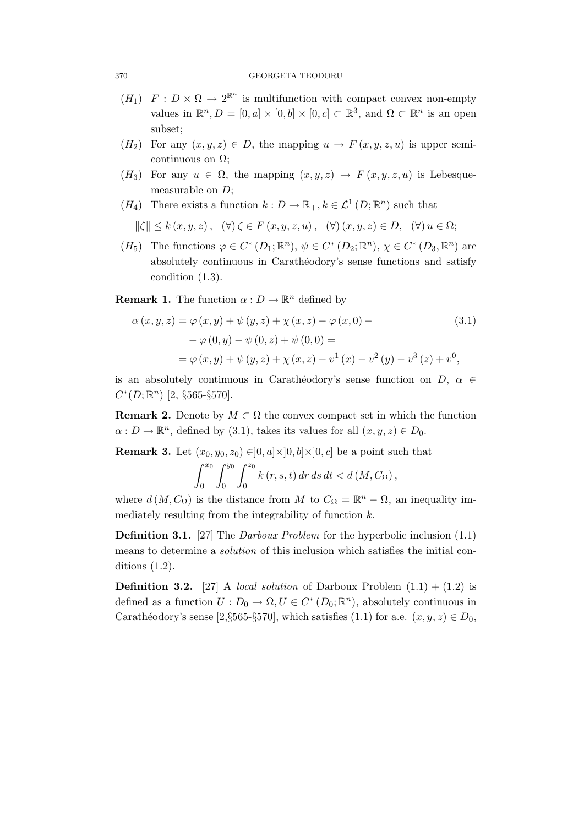- $(H_1)$   $F: D \times \Omega \to 2^{\mathbb{R}^n}$  is multifunction with compact convex non-empty values in  $\mathbb{R}^n, D = [0, a] \times [0, b] \times [0, c] \subset \mathbb{R}^3$ , and  $\Omega \subset \mathbb{R}^n$  is an open subset;
- $(H_2)$  For any  $(x, y, z) \in D$ , the mapping  $u \to F(x, y, z, u)$  is upper semicontinuous on  $\Omega$ :
- $(H_3)$  For any  $u \in \Omega$ , the mapping  $(x, y, z) \to F(x, y, z, u)$  is Lebesquemeasurable on  $D$ ;
- $(H_4)$  There exists a function  $k: D \to \mathbb{R}_+, k \in \mathcal{L}^1(D; \mathbb{R}^n)$  such that

$$
\|\zeta\| \le k(x, y, z), \quad (\forall) \zeta \in F(x, y, z, u), \quad (\forall) (x, y, z) \in D, \quad (\forall) u \in \Omega;
$$

 $(H_5)$  The functions  $\varphi \in C^* (D_1; \mathbb{R}^n)$ ,  $\psi \in C^* (D_2; \mathbb{R}^n)$ ,  $\chi \in C^* (D_3, \mathbb{R}^n)$  are absolutely continuous in Carathéodory's sense functions and satisfy condition (1.3).

**Remark 1.** The function  $\alpha: D \to \mathbb{R}^n$  defined by

$$
\alpha(x, y, z) = \varphi(x, y) + \psi(y, z) + \chi(x, z) - \varphi(x, 0) -
$$
  
\n
$$
-\varphi(0, y) - \psi(0, z) + \psi(0, 0) =
$$
  
\n
$$
= \varphi(x, y) + \psi(y, z) + \chi(x, z) - v^{1}(x) - v^{2}(y) - v^{3}(z) + v^{0},
$$
\n(3.1)

is an absolutely continuous in Carathéodory's sense function on  $D, \alpha \in$  $C^*(D;\mathbb{R}^n)$  [2, §565-§570].

**Remark 2.** Denote by  $M \subset \Omega$  the convex compact set in which the function  $\alpha: D \to \mathbb{R}^n$ , defined by (3.1), takes its values for all  $(x, y, z) \in D_0$ .

**Remark 3.** Let  $(x_0, y_0, z_0) \in ]0, a] \times ]0, b] \times ]0, c]$  be a point such that

$$
\int_0^{x_0} \int_0^{y_0} \int_0^{z_0} k(r, s, t) dr ds dt < d(M, C_{\Omega}),
$$

where  $d(M, C_{\Omega})$  is the distance from M to  $C_{\Omega} = \mathbb{R}^n - \Omega$ , an inequality immediately resulting from the integrability of function  $k$ .

**Definition 3.1.** [27] The *Darboux Problem* for the hyperbolic inclusion (1.1) means to determine a solution of this inclusion which satisfies the initial conditions (1.2).

**Definition 3.2.** [27] A *local solution* of Darboux Problem  $(1.1) + (1.2)$  is defined as a function  $U: D_0 \to \Omega, U \in C^* (D_0; \mathbb{R}^n)$ , absolutely continuous in Carathéodory's sense [2,§565-§570], which satisfies (1.1) for a.e.  $(x, y, z) \in D_0$ ,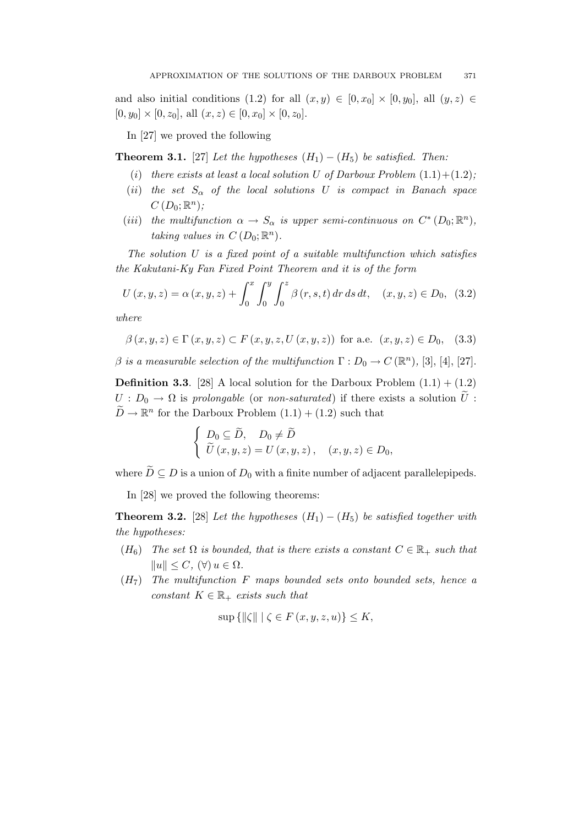and also initial conditions (1.2) for all  $(x, y) \in [0, x_0] \times [0, y_0]$ , all  $(y, z) \in$  $[0, y_0] \times [0, z_0]$ , all  $(x, z) \in [0, x_0] \times [0, z_0]$ .

In [27] we proved the following

**Theorem 3.1.** [27] Let the hypotheses  $(H_1) - (H_5)$  be satisfied. Then:

- (i) there exists at least a local solution U of Darboux Problem  $(1.1)+(1.2)$ ;
- (ii) the set  $S_{\alpha}$  of the local solutions U is compact in Banach space  $C(D_0;\mathbb{R}^n);$
- (iii) the multifunction  $\alpha \to S_\alpha$  is upper semi-continuous on  $C^*(D_0; \mathbb{R}^n)$ , taking values in  $C(D_0;\mathbb{R}^n)$ .

The solution  $U$  is a fixed point of a suitable multifunction which satisfies the Kakutani-Ky Fan Fixed Point Theorem and it is of the form

$$
U(x, y, z) = \alpha(x, y, z) + \int_0^x \int_0^y \int_0^z \beta(r, s, t) dr ds dt, \quad (x, y, z) \in D_0, \tag{3.2}
$$

where

$$
\beta(x, y, z) \in \Gamma(x, y, z) \subset F(x, y, z, U(x, y, z))
$$
 for a.e.  $(x, y, z) \in D_0$ , (3.3)

 $\beta$  is a measurable selection of the multifunction  $\Gamma: D_0 \to C(\mathbb{R}^n)$ , [3], [4], [27].

**Definition 3.3.** [28] A local solution for the Darboux Problem  $(1.1) + (1.2)$  $U: D_0 \to \Omega$  is prolongable (or non-saturated) if there exists a solution  $\tilde{U}$ :  $\widetilde{D} \to \mathbb{R}^n$  for the Darboux Problem  $(1.1) + (1.2)$  such that

$$
\begin{cases}\nD_0 \subseteq \widetilde{D}, & D_0 \neq \widetilde{D} \\
\widetilde{U}(x, y, z) = U(x, y, z), & (x, y, z) \in D_0,\n\end{cases}
$$

where  $\widetilde{D} \subseteq D$  is a union of  $D_0$  with a finite number of adjacent parallelepipeds.

In [28] we proved the following theorems:

**Theorem 3.2.** [28] Let the hypotheses  $(H_1) - (H_5)$  be satisfied together with the hypotheses:

- $(H_6)$  The set  $\Omega$  is bounded, that is there exists a constant  $C \in \mathbb{R}_+$  such that  $||u|| \leq C$ ,  $(\forall) u \in \Omega$ .
- $(H<sub>7</sub>)$  The multifunction F maps bounded sets onto bounded sets, hence a constant  $K \in \mathbb{R}_+$  exists such that

 $\sup \{\|\zeta\| \mid \zeta \in F(x,y,z,u)\} \leq K,$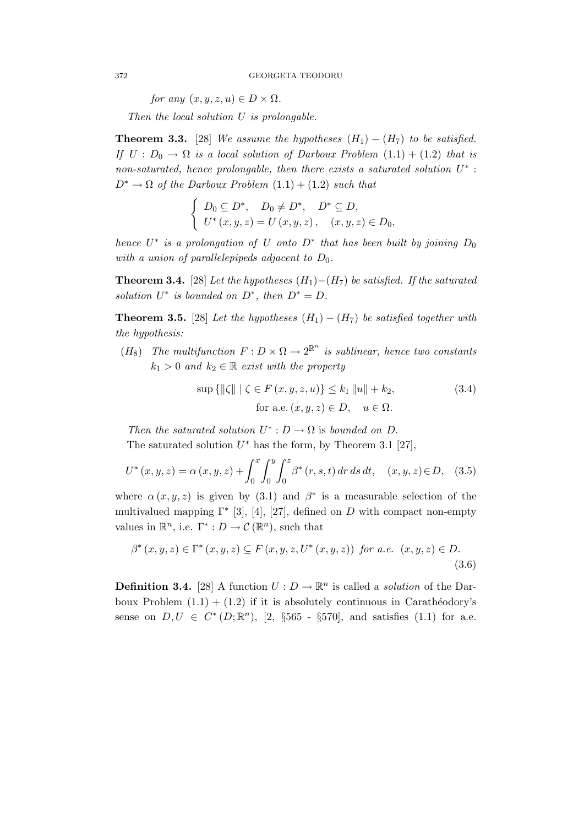for any  $(x, y, z, u) \in D \times \Omega$ .

Then the local solution U is prolongable.

**Theorem 3.3.** [28] We assume the hypotheses  $(H_1) - (H_7)$  to be satisfied. If  $U: D_0 \to \Omega$  is a local solution of Darboux Problem  $(1.1) + (1.2)$  that is non-saturated, hence prolongable, then there exists a saturated solution  $U^*$ :  $D^* \to \Omega$  of the Darboux Problem  $(1.1) + (1.2)$  such that

$$
\begin{cases}\nD_0 \subseteq D^*, & D_0 \neq D^*, \quad D^* \subseteq D, \\
U^*(x, y, z) = U(x, y, z), & (x, y, z) \in D_0,\n\end{cases}
$$

hence  $U^*$  is a prolongation of U onto  $D^*$  that has been built by joining  $D_0$ with a union of parallelepipeds adjacent to  $D_0$ .

**Theorem 3.4.** [28] Let the hypotheses  $(H_1) - (H_7)$  be satisfied. If the saturated solution  $U^*$  is bounded on  $D^*$ , then  $D^* = D$ .

**Theorem 3.5.** [28] Let the hypotheses  $(H_1) - (H_7)$  be satisfied together with the hypothesis:

 $(H_8)$  The multifunction  $F: D \times \Omega \to 2^{\mathbb{R}^n}$  is sublinear, hence two constants  $k_1 > 0$  and  $k_2 \in \mathbb{R}$  exist with the property

$$
\sup\left\{ \left\| \zeta \right\| \mid \zeta \in F(x, y, z, u) \right\} \le k_1 \left\| u \right\| + k_2,
$$
\nfor a.e.  $(x, y, z) \in D, \quad u \in \Omega.$ 

\n(3.4)

Then the saturated solution  $U^* : D \to \Omega$  is bounded on D.

The saturated solution  $U^*$  has the form, by Theorem 3.1 [27],

$$
U^*(x, y, z) = \alpha(x, y, z) + \int_0^x \int_0^y \int_0^z \beta^*(r, s, t) dr ds dt, \quad (x, y, z) \in D, \quad (3.5)
$$

where  $\alpha(x, y, z)$  is given by (3.1) and  $\beta^*$  is a measurable selection of the multivalued mapping  $\Gamma^*$  [3], [4], [27], defined on D with compact non-empty values in  $\mathbb{R}^n$ , i.e.  $\Gamma^*: D \to \mathcal{C}(\mathbb{R}^n)$ , such that

$$
\beta^{*}(x, y, z) \in \Gamma^{*}(x, y, z) \subseteq F(x, y, z, U^{*}(x, y, z)) \text{ for a.e. } (x, y, z) \in D. \tag{3.6}
$$

**Definition 3.4.** [28] A function  $U: D \to \mathbb{R}^n$  is called a *solution* of the Darboux Problem  $(1.1) + (1.2)$  if it is absolutely continuous in Carathéodory's sense on  $D, U \in C^*(D; \mathbb{R}^n)$ , [2, §565 - §570], and satisfies (1.1) for a.e.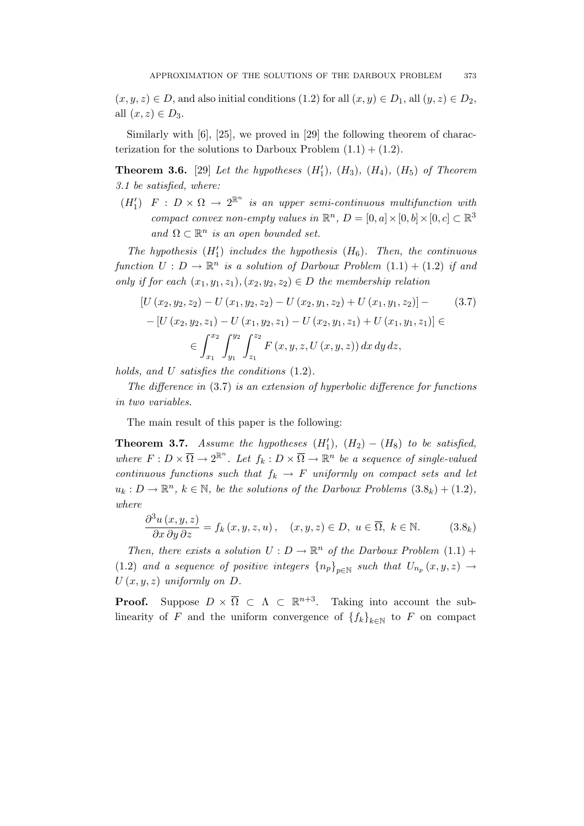$(x, y, z) \in D$ , and also initial conditions  $(1.2)$  for all  $(x, y) \in D_1$ , all  $(y, z) \in D_2$ , all  $(x, z) \in D_3$ .

Similarly with [6], [25], we proved in [29] the following theorem of characterization for the solutions to Darboux Problem  $(1.1) + (1.2)$ .

**Theorem 3.6.** [29] Let the hypotheses  $(H'_1)$ ,  $(H_3)$ ,  $(H_4)$ ,  $(H_5)$  of Theorem 3.1 be satisfied, where:

 $(H'_1)$   $F : D \times \Omega \to 2^{\mathbb{R}^n}$  is an upper semi-continuous multifunction with compact convex non-empty values in  $\mathbb{R}^n$ ,  $D = [0, a] \times [0, b] \times [0, c] \subset \mathbb{R}^3$ and  $\Omega \subset \mathbb{R}^n$  is an open bounded set.

The hypothesis  $(H'_1)$  includes the hypothesis  $(H_6)$ . Then, the continuous function  $U: D \to \mathbb{R}^n$  is a solution of Darboux Problem  $(1.1) + (1.2)$  if and only if for each  $(x_1, y_1, z_1), (x_2, y_2, z_2) \in D$  the membership relation

$$
[U (x_2, y_2, z_2) - U (x_1, y_2, z_2) - U (x_2, y_1, z_2) + U (x_1, y_1, z_2)] - (3.7)
$$
  
- 
$$
[U (x_2, y_2, z_1) - U (x_1, y_2, z_1) - U (x_2, y_1, z_1) + U (x_1, y_1, z_1)] \in
$$
  

$$
\in \int_{x_1}^{x_2} \int_{y_1}^{y_2} \int_{z_1}^{z_2} F(x, y, z, U(x, y, z)) dx dy dz,
$$

holds, and U satisfies the conditions  $(1.2)$ .

The difference in (3.7) is an extension of hyperbolic difference for functions in two variables.

The main result of this paper is the following:

**Theorem 3.7.** Assume the hypotheses  $(H'_1)$ ,  $(H_2) - (H_8)$  to be satisfied, where  $F: D \times \overline{\Omega} \to 2^{\mathbb{R}^n}$ . Let  $f_k: D \times \overline{\Omega} \to \mathbb{R}^n$  be a sequence of single-valued continuous functions such that  $f_k \to F$  uniformly on compact sets and let  $u_k: D \to \mathbb{R}^n$ ,  $k \in \mathbb{N}$ , be the solutions of the Darboux Problems  $(3.8_k) + (1.2)$ , where

$$
\frac{\partial^3 u(x, y, z)}{\partial x \partial y \partial z} = f_k(x, y, z, u), \quad (x, y, z) \in D, \ u \in \overline{\Omega}, \ k \in \mathbb{N}.
$$
 (3.8<sub>k</sub>)

Then, there exists a solution  $U: D \to \mathbb{R}^n$  of the Darboux Problem  $(1.1)$  + (1.2) and a sequence of positive integers  $\{n_p\}_{p\in\mathbb{N}}$  such that  $U_{n_p}(x, y, z) \to$  $U(x, y, z)$  uniformly on  $D$ .

**Proof.** Suppose  $D \times \overline{\Omega} \subset \Lambda \subset \mathbb{R}^{n+3}$ . Taking into account the sublinearity of F and the uniform convergence of  ${f_k}_{k\in\mathbb{N}}$  to F on compact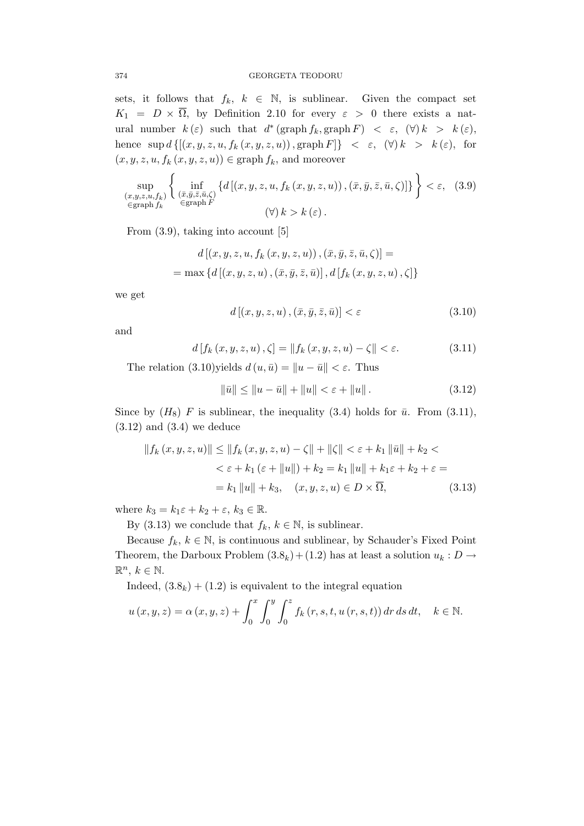sets, it follows that  $f_k$ ,  $k \in \mathbb{N}$ , is sublinear. Given the compact set  $K_1 = D \times \overline{\Omega}$ , by Definition 2.10 for every  $\varepsilon > 0$  there exists a natural number  $k(\varepsilon)$  such that  $d^*(\text{graph } f_k, \text{graph } F) < \varepsilon$ ,  $(\forall) k > k(\varepsilon)$ , hence  $\sup d \{[(x, y, z, u, f_k(x, y, z, u)) , \text{graph } F \} < \varepsilon, (\forall) k > k(\varepsilon), \text{ for }$  $(x, y, z, u, f_k(x, y, z, u)) \in \text{graph } f_k$ , and moreover

$$
\sup_{\substack{(x,y,z,u,f_k) \in \text{graph } f_k}} \left\{ \inf_{\substack{(\bar{x},\bar{y},\bar{z},\bar{u},\zeta) \\ \in \text{graph } F}} \left\{ d\left[ (x,y,z,u,f_k(x,y,z,u)) \right), (\bar{x},\bar{y},\bar{z},\bar{u},\zeta) \right\} \right\} < \varepsilon, \quad (3.9)
$$

From (3.9), taking into account [5]

$$
d\left[\left(x, y, z, u, f_k\left(x, y, z, u\right)\right), \left(\bar{x}, \bar{y}, \bar{z}, \bar{u}, \zeta\right)\right] =
$$

$$
= \max \left\{d\left[\left(x, y, z, u\right), \left(\bar{x}, \bar{y}, \bar{z}, \bar{u}\right)\right], d\left[f_k\left(x, y, z, u\right), \zeta\right]\right\}
$$

we get

$$
d\left[\left(x,y,z,u\right),\left(\bar{x},\bar{y},\bar{z},\bar{u}\right)\right]<\varepsilon\tag{3.10}
$$

and

$$
d[f_k(x, y, z, u), \zeta] = ||f_k(x, y, z, u) - \zeta|| < \varepsilon.
$$
 (3.11)

The relation  $(3.10)$ yields  $d(u, \bar{u}) = ||u - \bar{u}|| < \varepsilon$ . Thus

$$
\|\bar{u}\| \le \|u - \bar{u}\| + \|u\| < \varepsilon + \|u\| \,. \tag{3.12}
$$

Since by  $(H_8)$  F is sublinear, the inequality (3.4) holds for  $\bar{u}$ . From (3.11),  $(3.12)$  and  $(3.4)$  we deduce

$$
||f_{k}(x, y, z, u)|| \le ||f_{k}(x, y, z, u) - \zeta|| + ||\zeta|| < \varepsilon + k_{1} ||\bar{u}|| + k_{2} <
$$
  

$$
< \varepsilon + k_{1} (\varepsilon + ||u||) + k_{2} = k_{1} ||u|| + k_{1} \varepsilon + k_{2} + \varepsilon =
$$
  

$$
= k_{1} ||u|| + k_{3}, \quad (x, y, z, u) \in D \times \overline{\Omega}, \tag{3.13}
$$

where  $k_3 = k_1 \varepsilon + k_2 + \varepsilon$ ,  $k_3 \in \mathbb{R}$ .

By (3.13) we conclude that  $f_k, k \in \mathbb{N}$ , is sublinear.

Because  $f_k, k \in \mathbb{N}$ , is continuous and sublinear, by Schauder's Fixed Point Theorem, the Darboux Problem  $(3.8_k) + (1.2)$  has at least a solution  $u_k : D \to$  $\mathbb{R}^n, k \in \mathbb{N}.$ 

Indeed,  $(3.8<sub>k</sub>) + (1.2)$  is equivalent to the integral equation

$$
u(x, y, z) = \alpha(x, y, z) + \int_0^x \int_0^y \int_0^z f_k(r, s, t, u(r, s, t)) dr ds dt, \quad k \in \mathbb{N}.
$$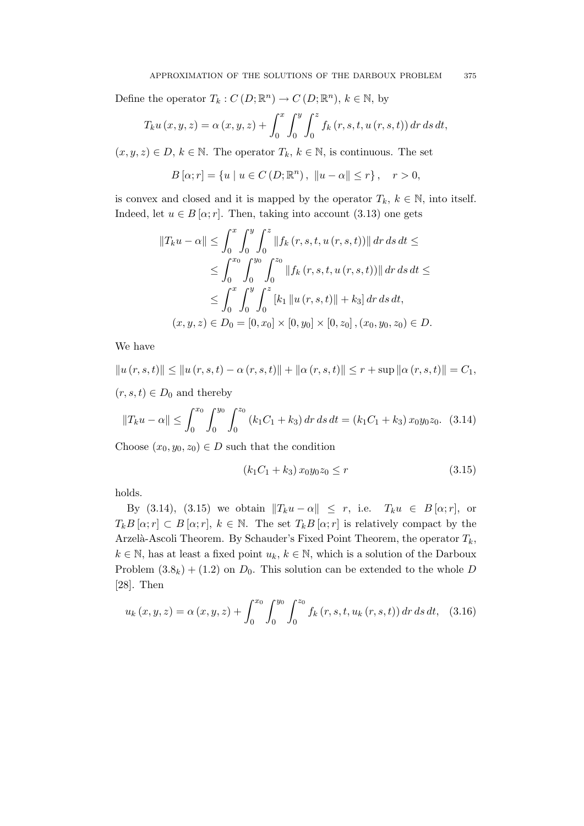Define the operator  $T_k: C(D; \mathbb{R}^n) \to C(D; \mathbb{R}^n)$ ,  $k \in \mathbb{N}$ , by

$$
T_{k}u(x, y, z) = \alpha(x, y, z) + \int_{0}^{x} \int_{0}^{y} \int_{0}^{z} f_{k}(r, s, t, u(r, s, t)) dr ds dt,
$$

 $(x, y, z) \in D, k \in \mathbb{N}$ . The operator  $T_k, k \in \mathbb{N}$ , is continuous. The set

$$
B[\alpha; r] = \{u \mid u \in C(D; \mathbb{R}^n), \|u - \alpha\| \le r\}, \quad r > 0,
$$

is convex and closed and it is mapped by the operator  $T_k$ ,  $k \in \mathbb{N}$ , into itself. Indeed, let  $u \in B[\alpha; r]$ . Then, taking into account (3.13) one gets

$$
||T_k u - \alpha|| \le \int_0^x \int_0^y \int_0^z ||f_k(r, s, t, u(r, s, t))|| dr ds dt \le
$$
  
\n
$$
\le \int_0^{x_0} \int_0^{y_0} \int_0^{z_0} ||f_k(r, s, t, u(r, s, t))|| dr ds dt \le
$$
  
\n
$$
\le \int_0^x \int_0^y \int_0^z [k_1 ||u(r, s, t)|| + k_3] dr ds dt,
$$
  
\n
$$
(x, y, z) \in D_0 = [0, x_0] \times [0, y_0] \times [0, z_0], (x_0, y_0, z_0) \in D.
$$

We have

$$
||u(r, s, t)|| \le ||u(r, s, t) - \alpha(r, s, t)|| + ||\alpha(r, s, t)|| \le r + \sup ||\alpha(r, s, t)|| = C_1,
$$

 $(r, s, t) \in D_0$  and thereby

$$
||T_k u - \alpha|| \le \int_0^{x_0} \int_0^{y_0} \int_0^{z_0} (k_1 C_1 + k_3) dr ds dt = (k_1 C_1 + k_3) x_0 y_0 z_0. \tag{3.14}
$$

Choose  $(x_0, y_0, z_0) \in D$  such that the condition

$$
(k_1C_1 + k_3) x_0 y_0 z_0 \le r \tag{3.15}
$$

holds.

By (3.14), (3.15) we obtain  $||T_ku - \alpha|| \leq r$ , i.e.  $T_ku \in B[\alpha; r]$ , or  $T_kB[\alpha;r] \subset B[\alpha;r], k \in \mathbb{N}$ . The set  $T_kB[\alpha;r]$  is relatively compact by the Arzelà-Ascoli Theorem. By Schauder's Fixed Point Theorem, the operator  $T_k$ ,  $k \in \mathbb{N}$ , has at least a fixed point  $u_k, k \in \mathbb{N}$ , which is a solution of the Darboux Problem  $(3.8_k) + (1.2)$  on  $D_0$ . This solution can be extended to the whole D [28]. Then

$$
u_{k}(x, y, z) = \alpha(x, y, z) + \int_{0}^{x_{0}} \int_{0}^{y_{0}} \int_{0}^{z_{0}} f_{k}(r, s, t, u_{k}(r, s, t)) dr ds dt, \quad (3.16)
$$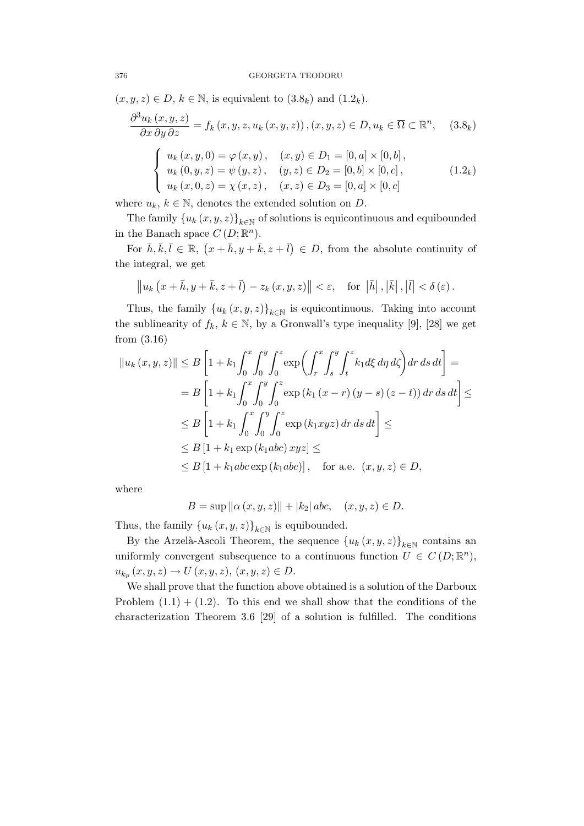$(x, y, z) \in D$ ,  $k \in \mathbb{N}$ , is equivalent to  $(3.8<sub>k</sub>)$  and  $(1.2<sub>k</sub>)$ .

$$
\frac{\partial^3 u_k(x, y, z)}{\partial x \partial y \partial z} = f_k(x, y, z, u_k(x, y, z)), (x, y, z) \in D, u_k \in \overline{\Omega} \subset \mathbb{R}^n, \quad (3.8_k)
$$

$$
\begin{cases} u_k(x, y, 0) = \varphi(x, y), & (x, y) \in D_1 = [0, a] \times [0, b], \\ u_k(0, y, z) = \psi(y, z), & (y, z) \in D_2 = [0, b] \times [0, c], \\ u_k(x, 0, z) = \chi(x, z), & (x, z) \in D_3 = [0, a] \times [0, c] \end{cases}
$$
(1.2<sub>k</sub>)

where  $u_k, k \in \mathbb{N}$ , denotes the extended solution on D.

The family  $\{u_k(x, y, z)\}_{k\in\mathbb{N}}$  of solutions is equicontinuous and equibounded in the Banach space  $C(D;\mathbb{R}^n)$ .

For  $\bar{h}, \bar{k}, \bar{l} \in \mathbb{R}, (x + \bar{h}, y + \bar{k}, z + \bar{l}) \in D$ , from the absolute continuity of the integral, we get

$$
\|u_{k}\left(x+\bar{h},y+\bar{k},z+\bar{l}\right)-z_{k}\left(x,y,z\right)\|<\varepsilon,\quad\text{for}\;\left|\bar{h}\right|,\left|\bar{k}\right|,\left|\bar{l}\right|<\delta\left(\varepsilon\right).
$$

Thus, the family  $\{u_k(x, y, z)\}_{k \in \mathbb{N}}$  is equicontinuous. Taking into account the sublinearity of  $f_k$ ,  $k \in \mathbb{N}$ , by a Gronwall's type inequality [9], [28] we get from (3.16)

$$
||u_k(x, y, z)|| \leq B \left[ 1 + k_1 \int_0^x \int_0^y \int_0^z \exp\left(\int_r^x \int_s^y \int_t^z k_1 d\xi d\eta d\zeta\right) dr ds dt \right] =
$$
  
\n
$$
= B \left[ 1 + k_1 \int_0^x \int_0^y \int_0^z \exp(k_1 (x - r) (y - s) (z - t)) dr ds dt \right] \leq
$$
  
\n
$$
\leq B \left[ 1 + k_1 \int_0^x \int_0^y \int_0^z \exp(k_1 xyz) dr ds dt \right] \leq
$$
  
\n
$$
\leq B \left[ 1 + k_1 \exp(k_1 abc) xyz \right] \leq
$$
  
\n
$$
\leq B \left[ 1 + k_1 abc \exp(k_1 abc) \right], \text{ for a.e. } (x, y, z) \in D,
$$

where

$$
B = \sup \| \alpha (x, y, z) \| + |k_2| \, abc, \quad (x, y, z) \in D.
$$

Thus, the family  $\{u_k(x, y, z)\}_{k \in \mathbb{N}}$  is equibounded.

By the Arzelà-Ascoli Theorem, the sequence  ${u_k(x, y, z)}_{k \in \mathbb{N}}$  contains an uniformly convergent subsequence to a continuous function  $U \in C(D;\mathbb{R}^n)$ ,  $u_{k_p}(x, y, z) \to U(x, y, z), (x, y, z) \in D.$ 

We shall prove that the function above obtained is a solution of the Darboux Problem  $(1.1) + (1.2)$ . To this end we shall show that the conditions of the characterization Theorem 3.6 [29] of a solution is fulfilled. The conditions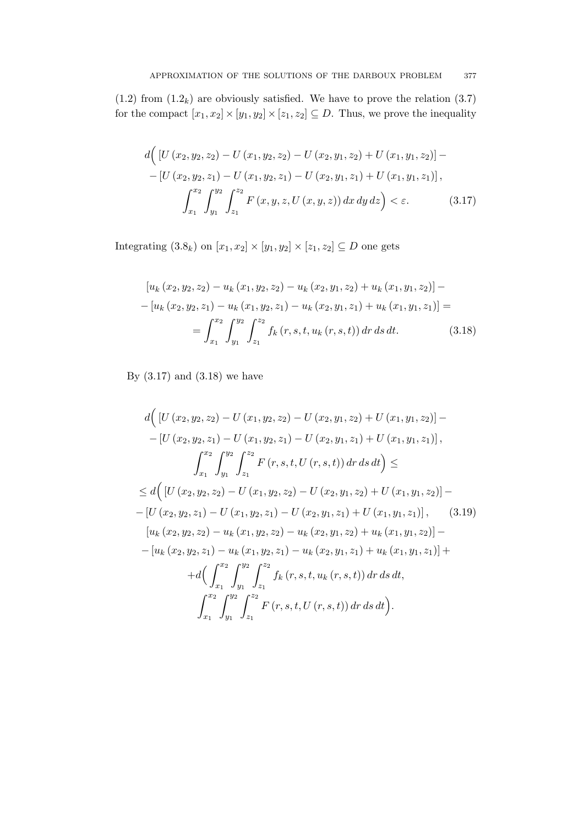$(1.2)$  from  $(1.2<sub>k</sub>)$  are obviously satisfied. We have to prove the relation  $(3.7)$ for the compact  $[x_1, x_2] \times [y_1, y_2] \times [z_1, z_2] \subseteq D$ . Thus, we prove the inequality

$$
d\Big( \left[ U\left(x_2, y_2, z_2\right) - U\left(x_1, y_2, z_2\right) - U\left(x_2, y_1, z_2\right) + U\left(x_1, y_1, z_2\right) \right] - \left[ U\left(x_2, y_2, z_1\right) - U\left(x_1, y_2, z_1\right) - U\left(x_2, y_1, z_1\right) + U\left(x_1, y_1, z_1\right) \right],
$$
  

$$
\int_{x_1}^{x_2} \int_{y_1}^{y_2} \int_{z_1}^{z_2} F\left(x, y, z, U\left(x, y, z\right)\right) dx dy dz \Big) < \varepsilon.
$$
 (3.17)

Integrating  $(3.8_k)$  on  $[x_1, x_2] \times [y_1, y_2] \times [z_1, z_2] \subseteq D$  one gets

$$
\begin{aligned}\n\left[u_k\left(x_2, y_2, z_2\right) - u_k\left(x_1, y_2, z_2\right) - u_k\left(x_2, y_1, z_2\right) + u_k\left(x_1, y_1, z_2\right)\right] - \\
-\left[u_k\left(x_2, y_2, z_1\right) - u_k\left(x_1, y_2, z_1\right) - u_k\left(x_2, y_1, z_1\right) + u_k\left(x_1, y_1, z_1\right)\right] = \\
&= \int_{x_1}^{x_2} \int_{y_1}^{y_2} \int_{z_1}^{z_2} f_k\left(r, s, t, u_k\left(r, s, t\right)\right) dr \, ds \, dt.\n\end{aligned} \tag{3.18}
$$

By  $(3.17)$  and  $(3.18)$  we have

$$
d\Big( \left[ U(x_2, y_2, z_2) - U(x_1, y_2, z_2) - U(x_2, y_1, z_2) + U(x_1, y_1, z_2) \right] -
$$
  
\n
$$
- \left[ U(x_2, y_2, z_1) - U(x_1, y_2, z_1) - U(x_2, y_1, z_1) + U(x_1, y_1, z_1) \right],
$$
  
\n
$$
\int_{x_1}^{x_2} \int_{y_1}^{y_2} \int_{z_1}^{z_2} F(r, s, t, U(r, s, t)) dr ds dt \Big) \le
$$
  
\n
$$
\leq d\Big( \left[ U(x_2, y_2, z_2) - U(x_1, y_2, z_2) - U(x_2, y_1, z_2) + U(x_1, y_1, z_2) \right] -
$$
  
\n
$$
- \left[ U(x_2, y_2, z_1) - U(x_1, y_2, z_1) - U(x_2, y_1, z_1) + U(x_1, y_1, z_1) \right], \quad (3.19)
$$
  
\n
$$
\Big[ u_k(x_2, y_2, z_2) - u_k(x_1, y_2, z_2) - u_k(x_2, y_1, z_2) + u_k(x_1, y_1, z_2) \Big] -
$$
  
\n
$$
- \Big[ u_k(x_2, y_2, z_1) - u_k(x_1, y_2, z_1) - u_k(x_2, y_1, z_1) + u_k(x_1, y_1, z_1) \Big] +
$$
  
\n
$$
+ d\Big( \int_{x_1}^{x_2} \int_{y_1}^{y_2} \int_{z_1}^{z_2} f_k(r, s, t, u_k(r, s, t)) dr ds dt,
$$
  
\n
$$
\int_{x_1}^{x_2} \int_{y_1}^{y_2} \int_{z_1}^{z_2} F(r, s, t, U(r, s, t)) dr ds dt \Big).
$$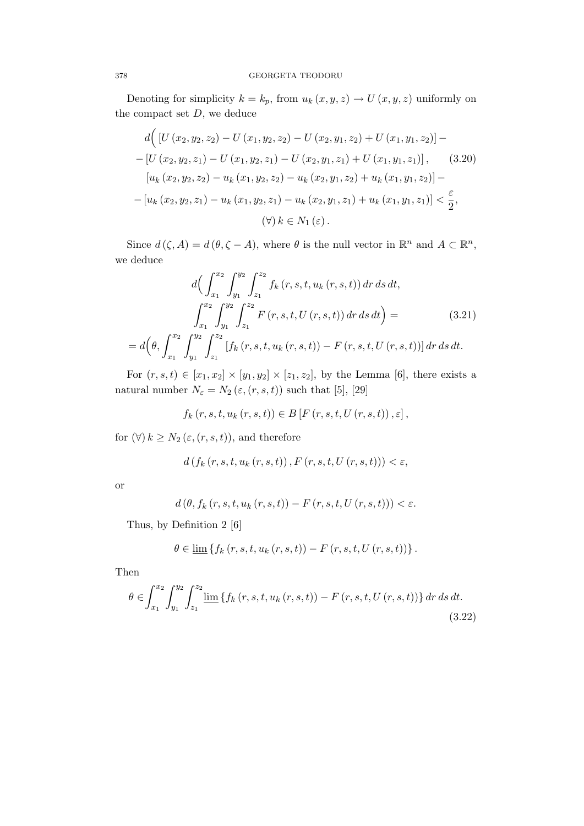Denoting for simplicity  $k = k_p$ , from  $u_k(x, y, z) \rightarrow U(x, y, z)$  uniformly on the compact set  $D$ , we deduce

$$
d\Big([U(x_2, y_2, z_2) - U(x_1, y_2, z_2) - U(x_2, y_1, z_2) + U(x_1, y_1, z_2)] -
$$
  
\n
$$
- [U(x_2, y_2, z_1) - U(x_1, y_2, z_1) - U(x_2, y_1, z_1) + U(x_1, y_1, z_1)], \quad (3.20)
$$
  
\n
$$
[u_k(x_2, y_2, z_2) - u_k(x_1, y_2, z_2) - u_k(x_2, y_1, z_2) + u_k(x_1, y_1, z_2)] -
$$
  
\n
$$
- [u_k(x_2, y_2, z_1) - u_k(x_1, y_2, z_1) - u_k(x_2, y_1, z_1) + u_k(x_1, y_1, z_1)] < \frac{\varepsilon}{2},
$$
  
\n
$$
(\forall) k \in N_1(\varepsilon).
$$

Since  $d(\zeta, A) = d(\theta, \zeta - A)$ , where  $\theta$  is the null vector in  $\mathbb{R}^n$  and  $A \subset \mathbb{R}^n$ , we deduce

$$
d\left(\int_{x_1}^{x_2} \int_{y_1}^{y_2} \int_{z_1}^{z_2} f_k(r, s, t, u_k(r, s, t)) dr ds dt, \right)
$$
  

$$
\int_{x_1}^{x_2} \int_{y_1}^{y_2} \int_{z_1}^{z_2} F(r, s, t, U(r, s, t)) dr ds dt \right) =
$$
  

$$
= d\left(\theta, \int_{x_1}^{x_2} \int_{y_1}^{y_2} \int_{z_1}^{z_2} [f_k(r, s, t, u_k(r, s, t)) - F(r, s, t, U(r, s, t))] dr ds dt.
$$
 (3.21)

For  $(r, s, t) \in [x_1, x_2] \times [y_1, y_2] \times [z_1, z_2]$ , by the Lemma [6], there exists a natural number  $N_\varepsilon=N_2\left(\varepsilon,(r,s,t)\right)$  such that [5], [29]

$$
f_k(r, s, t, u_k(r, s, t)) \in B[F(r, s, t, U(r, s, t)), \varepsilon],
$$

for  $(\forall) k \geq N_2 (\varepsilon, (r, s, t)),$  and therefore

$$
d(f_k(r, s, t, u_k(r, s, t)), F(r, s, t, U(r, s, t))) < \varepsilon,
$$

or

$$
d(\theta, f_k(r, s, t, u_k(r, s, t)) - F(r, s, t, U(r, s, t))) < \varepsilon.
$$

Thus, by Definition 2 [6]

$$
\theta \in \underline{\lim} \left\{ f_k(r, s, t, u_k(r, s, t)) - F(r, s, t, U(r, s, t)) \right\}.
$$

Then

$$
\theta \in \int_{x_1}^{x_2} \int_{y_1}^{y_2} \int_{z_1}^{z_2} \lim_{h \to 0} \{ f_k(r, s, t, u_k(r, s, t)) - F(r, s, t, U(r, s, t)) \} dr ds dt.
$$
\n(3.22)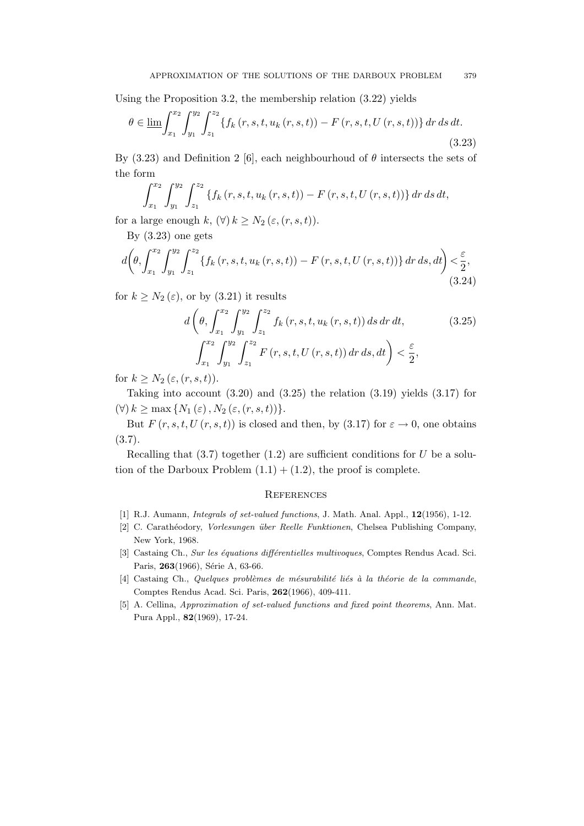Using the Proposition 3.2, the membership relation (3.22) yields

$$
\theta \in \lim_{n \to \infty} \int_{x_1}^{x_2} \int_{y_1}^{y_2} \int_{z_1}^{z_2} \{ f_k(r, s, t, u_k(r, s, t)) - F(r, s, t, U(r, s, t)) \} dr ds dt.
$$
\n(3.23)

By (3.23) and Definition 2 [6], each neighbourhoud of  $\theta$  intersects the sets of the form

$$
\int_{x_1}^{x_2} \int_{y_1}^{y_2} \int_{z_1}^{z_2} \{f_k(r, s, t, u_k(r, s, t)) - F(r, s, t, U(r, s, t))\} dr ds dt,
$$

for a large enough k,  $(\forall) k \geq N_2 (\varepsilon, (r, s, t)).$ 

By  $(3.23)$  one gets

$$
d\left(\theta, \int_{x_1}^{x_2} \int_{y_1}^{y_2} \int_{z_1}^{z_2} \{f_k(r, s, t, u_k(r, s, t)) - F(r, s, t, U(r, s, t))\} dr ds, dt\right) < \frac{\varepsilon}{2},
$$
\n(3.24)

for  $k > N_2(\varepsilon)$ , or by (3.21) it results

$$
d\left(\theta, \int_{x_1}^{x_2} \int_{y_1}^{y_2} \int_{z_1}^{z_2} f_k(r, s, t, u_k(r, s, t)) ds dr dt, \qquad (3.25)
$$

$$
\int_{x_1}^{x_2} \int_{y_1}^{y_2} \int_{z_1}^{z_2} F(r, s, t, U(r, s, t)) dr ds, dt\right) < \frac{\varepsilon}{2},
$$

for  $k \geq N_2 \left( \varepsilon, (r, s, t) \right)$ .

Taking into account  $(3.20)$  and  $(3.25)$  the relation  $(3.19)$  yields  $(3.17)$  for  $(\forall) k \ge \max \{ N_1 (\varepsilon), N_2 (\varepsilon, (r, s, t)) \}.$ 

But  $F(r, s, t, U(r, s, t))$  is closed and then, by (3.17) for  $\varepsilon \to 0$ , one obtains (3.7).

Recalling that  $(3.7)$  together  $(1.2)$  are sufficient conditions for U be a solution of the Darboux Problem  $(1.1) + (1.2)$ , the proof is complete.

#### **REFERENCES**

- [1] R.J. Aumann, *Integrals of set-valued functions*, J. Math. Anal. Appl., **12**(1956), 1-12.
- [2] C. Carathéodory, *Vorlesungen über Reelle Funktionen*, Chelsea Publishing Company, New York, 1968.
- [3] Castaing Ch., Sur les équations différentielles multivoques, Comptes Rendus Acad. Sci. Paris, 263(1966), Série A, 63-66.
- $[4]$  Castaing Ch., Quelques problèmes de mésurabilité liés à la théorie de la commande, Comptes Rendus Acad. Sci. Paris, 262(1966), 409-411.
- [5] A. Cellina, Approximation of set-valued functions and fixed point theorems, Ann. Mat. Pura Appl., 82(1969), 17-24.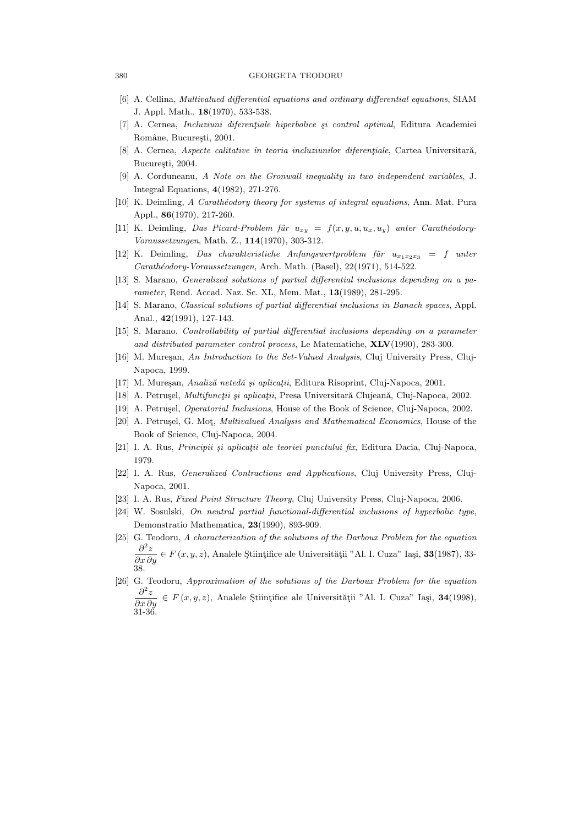#### 380 GEORGETA TEODORU

- [6] A. Cellina, Multivalued differential equations and ordinary differential equations, SIAM J. Appl. Math., 18(1970), 533-538.
- [7] A. Cernea, *Incluziuni diferențiale hiperbolice și control optimal*, Editura Academiei Române, București, 2001.
- [8] A. Cernea, Aspecte calitative în teoria incluziunilor diferențiale, Cartea Universitară, București, 2004.
- [9] A. Corduneanu, A Note on the Gronwall inequality in two independent variables, J. Integral Equations, 4(1982), 271-276.
- [10] K. Deimling, A Carathéodory theory for systems of integral equations, Ann. Mat. Pura Appl., 86(1970), 217-260.
- [11] K. Deimling, Das Picard-Problem für  $u_{xy} = f(x, y, u, u_x, u_y)$  unter Carathéodory-Voraussetzungen, Math. Z., 114(1970), 303-312.
- [12] K. Deimling, Das charakteristiche Anfangswertproblem für  $u_{x_1x_2x_3} = f$  unter Carathéodory-Voraussetzungen, Arch. Math. (Basel), 22(1971), 514-522.
- [13] S. Marano, Generalized solutions of partial differential inclusions depending on a parameter, Rend. Accad. Naz. Sc. XL, Mem. Mat., 13(1989), 281-295.
- [14] S. Marano, Classical solutions of partial differential inclusions in Banach spaces, Appl. Anal., 42(1991), 127-143.
- [15] S. Marano, *Controllability of partial differential inclusions depending on a parameter* and distributed parameter control process, Le Matematiche, XLV(1990), 283-300.
- [16] M. Mureșan, An Introduction to the Set-Valued Analysis, Cluj University Press, Cluj-Napoca, 1999.
- [17] M. Muresan, Analiză netedă și aplicatii, Editura Risoprint, Cluj-Napoca, 2001.
- [18] A. Petrușel, *Multifunctii și aplicații*, Presa Universitară Clujeană, Cluj-Napoca, 2002.
- [19] A. Petrușel, *Operatorial Inclusions*, House of the Book of Science, Cluj-Napoca, 2002.
- [20] A. Petrușel, G. Mot, *Multivalued Analysis and Mathematical Economics*, House of the Book of Science, Cluj-Napoca, 2004.
- [21] I. A. Rus, Principii și aplicații ale teoriei punctului fix, Editura Dacia, Cluj-Napoca, 1979.
- [22] I. A. Rus, Generalized Contractions and Applications, Cluj University Press, Cluj-Napoca, 2001.
- [23] I. A. Rus, Fixed Point Structure Theory, Cluj University Press, Cluj-Napoca, 2006.
- [24] W. Sosulski, On neutral partial functional-differential inclusions of hyperbolic type, Demonstratio Mathematica, 23(1990), 893-909.
- [25] G. Teodoru, A characterization of the solutions of the Darboux Problem for the equation  $\frac{\partial^2 z}{\partial x \partial y}$  ∈ F (x, y, z), Analele Științifice ale Universității "Al. I. Cuza" Iași, 33(1987), 33-38.
- [26] G. Teodoru, Approximation of the solutions of the Darboux Problem for the equation  $\partial^2 z$ ∈  $F(x, y, z)$ , Analele Ştiințifice ale Universității "Al. I. Cuza" Iași, 34(1998), 31-36.